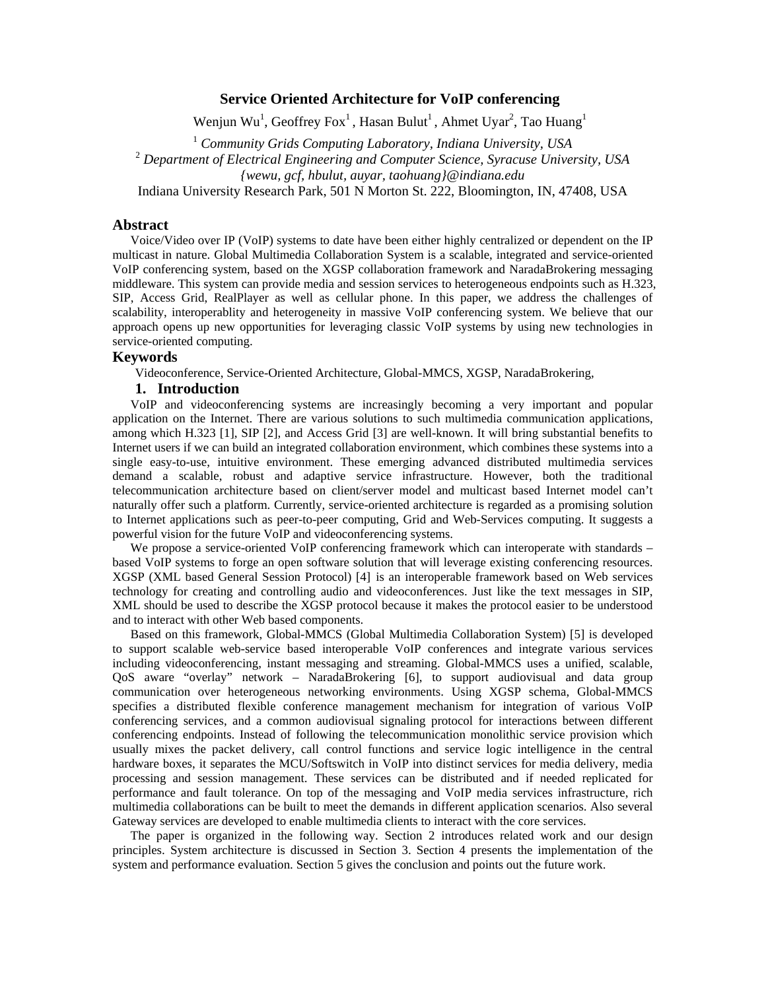## **Service Oriented Architecture for VoIP conferencing**

Wenjun Wu<sup>1</sup>, Geoffrey Fox<sup>1</sup>, Hasan Bulut<sup>1</sup>, Ahmet Uyar<sup>2</sup>, Tao Huang<sup>1</sup>

<sup>1</sup> *Community Grids Computing Laboratory, Indiana University, USA* 

<sup>2</sup> *Department of Electrical Engineering and Computer Science, Syracuse University, USA*

*{wewu, gcf, hbulut, auyar, taohuang}@indiana.edu* 

Indiana University Research Park, 501 N Morton St. 222, Bloomington, IN, 47408, USA

### **Abstract**

Voice/Video over IP (VoIP) systems to date have been either highly centralized or dependent on the IP multicast in nature. Global Multimedia Collaboration System is a scalable, integrated and service-oriented VoIP conferencing system, based on the XGSP collaboration framework and NaradaBrokering messaging middleware. This system can provide media and session services to heterogeneous endpoints such as H.323, SIP, Access Grid, RealPlayer as well as cellular phone. In this paper, we address the challenges of scalability, interoperablity and heterogeneity in massive VoIP conferencing system. We believe that our approach opens up new opportunities for leveraging classic VoIP systems by using new technologies in service-oriented computing.

# **Keywords**

Videoconference, Service-Oriented Architecture, Global-MMCS, XGSP, NaradaBrokering,

### **1. Introduction**

VoIP and videoconferencing systems are increasingly becoming a very important and popular application on the Internet. There are various solutions to such multimedia communication applications, among which H.323 [1], SIP [2], and Access Grid [3] are well-known. It will bring substantial benefits to Internet users if we can build an integrated collaboration environment, which combines these systems into a single easy-to-use, intuitive environment. These emerging advanced distributed multimedia services demand a scalable, robust and adaptive service infrastructure. However, both the traditional telecommunication architecture based on client/server model and multicast based Internet model can't naturally offer such a platform. Currently, service-oriented architecture is regarded as a promising solution to Internet applications such as peer-to-peer computing, Grid and Web-Services computing. It suggests a powerful vision for the future VoIP and videoconferencing systems.

We propose a service-oriented VoIP conferencing framework which can interoperate with standards – based VoIP systems to forge an open software solution that will leverage existing conferencing resources. XGSP (XML based General Session Protocol) [4] is an interoperable framework based on Web services technology for creating and controlling audio and videoconferences. Just like the text messages in SIP, XML should be used to describe the XGSP protocol because it makes the protocol easier to be understood and to interact with other Web based components.

Based on this framework, Global-MMCS (Global Multimedia Collaboration System) [5] is developed to support scalable web-service based interoperable VoIP conferences and integrate various services including videoconferencing, instant messaging and streaming. Global-MMCS uses a unified, scalable, QoS aware "overlay" network – NaradaBrokering [6], to support audiovisual and data group communication over heterogeneous networking environments. Using XGSP schema, Global-MMCS specifies a distributed flexible conference management mechanism for integration of various VoIP conferencing services, and a common audiovisual signaling protocol for interactions between different conferencing endpoints. Instead of following the telecommunication monolithic service provision which usually mixes the packet delivery, call control functions and service logic intelligence in the central hardware boxes, it separates the MCU/Softswitch in VoIP into distinct services for media delivery, media processing and session management. These services can be distributed and if needed replicated for performance and fault tolerance. On top of the messaging and VoIP media services infrastructure, rich multimedia collaborations can be built to meet the demands in different application scenarios. Also several Gateway services are developed to enable multimedia clients to interact with the core services.

The paper is organized in the following way. Section 2 introduces related work and our design principles. System architecture is discussed in Section 3. Section 4 presents the implementation of the system and performance evaluation. Section 5 gives the conclusion and points out the future work.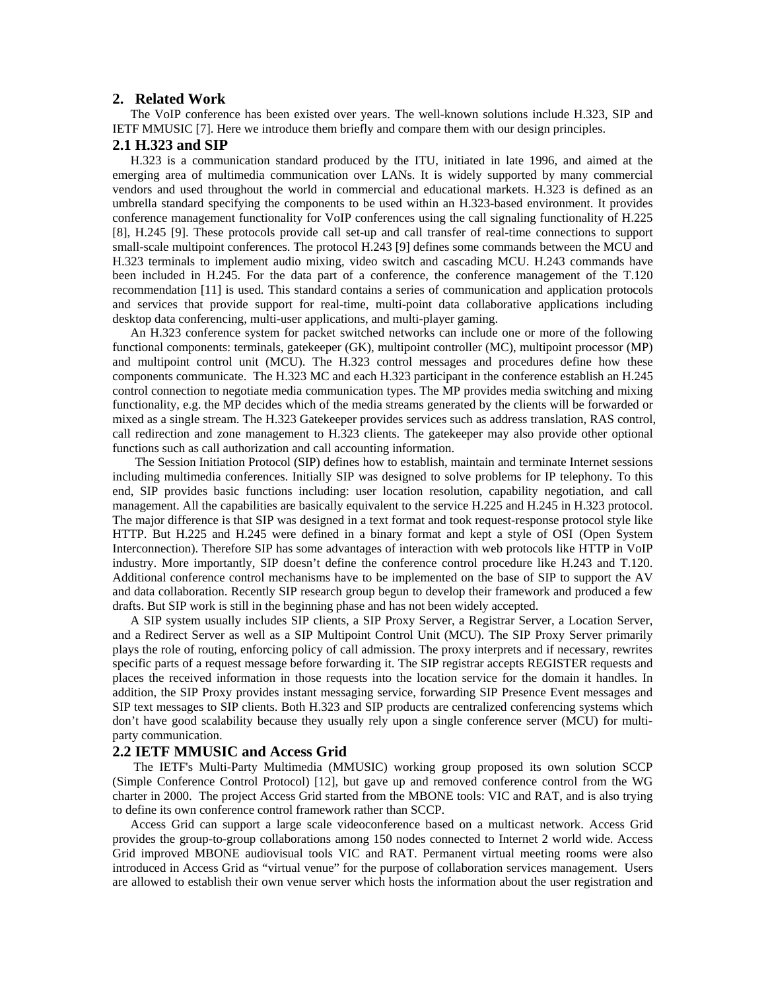### **2. Related Work**

The VoIP conference has been existed over years. The well-known solutions include H.323, SIP and IETF MMUSIC [7]. Here we introduce them briefly and compare them with our design principles.

### **2.1 H.323 and SIP**

H.323 is a communication standard produced by the ITU, initiated in late 1996, and aimed at the emerging area of multimedia communication over LANs. It is widely supported by many commercial vendors and used throughout the world in commercial and educational markets. H.323 is defined as an umbrella standard specifying the components to be used within an H.323-based environment. It provides conference management functionality for VoIP conferences using the call signaling functionality of H.225 [8], H.245 [9]. These protocols provide call set-up and call transfer of real-time connections to support small-scale multipoint conferences. The protocol H.243 [9] defines some commands between the MCU and H.323 terminals to implement audio mixing, video switch and cascading MCU. H.243 commands have been included in H.245. For the data part of a conference, the conference management of the T.120 recommendation [11] is used. This standard contains a series of communication and application protocols and services that provide support for real-time, multi-point data collaborative applications including desktop data conferencing, multi-user applications, and multi-player gaming.

An H.323 conference system for packet switched networks can include one or more of the following functional components: terminals, gatekeeper (GK), multipoint controller (MC), multipoint processor (MP) and multipoint control unit (MCU). The H.323 control messages and procedures define how these components communicate. The H.323 MC and each H.323 participant in the conference establish an H.245 control connection to negotiate media communication types. The MP provides media switching and mixing functionality, e.g. the MP decides which of the media streams generated by the clients will be forwarded or mixed as a single stream. The H.323 Gatekeeper provides services such as address translation, RAS control, call redirection and zone management to H.323 clients. The gatekeeper may also provide other optional functions such as call authorization and call accounting information.

 The Session Initiation Protocol (SIP) defines how to establish, maintain and terminate Internet sessions including multimedia conferences. Initially SIP was designed to solve problems for IP telephony. To this end, SIP provides basic functions including: user location resolution, capability negotiation, and call management. All the capabilities are basically equivalent to the service H.225 and H.245 in H.323 protocol. The major difference is that SIP was designed in a text format and took request-response protocol style like HTTP. But H.225 and H.245 were defined in a binary format and kept a style of OSI (Open System Interconnection). Therefore SIP has some advantages of interaction with web protocols like HTTP in VoIP industry. More importantly, SIP doesn't define the conference control procedure like H.243 and T.120. Additional conference control mechanisms have to be implemented on the base of SIP to support the AV and data collaboration. Recently SIP research group begun to develop their framework and produced a few drafts. But SIP work is still in the beginning phase and has not been widely accepted.

A SIP system usually includes SIP clients, a SIP Proxy Server, a Registrar Server, a Location Server, and a Redirect Server as well as a SIP Multipoint Control Unit (MCU). The SIP Proxy Server primarily plays the role of routing, enforcing policy of call admission. The proxy interprets and if necessary, rewrites specific parts of a request message before forwarding it. The SIP registrar accepts REGISTER requests and places the received information in those requests into the location service for the domain it handles. In addition, the SIP Proxy provides instant messaging service, forwarding SIP Presence Event messages and SIP text messages to SIP clients. Both H.323 and SIP products are centralized conferencing systems which don't have good scalability because they usually rely upon a single conference server (MCU) for multiparty communication.

#### **2.2 IETF MMUSIC and Access Grid**

 The IETF's Multi-Party Multimedia (MMUSIC) working group proposed its own solution SCCP (Simple Conference Control Protocol) [12], but gave up and removed conference control from the WG charter in 2000. The project Access Grid started from the MBONE tools: VIC and RAT, and is also trying to define its own conference control framework rather than SCCP.

Access Grid can support a large scale videoconference based on a multicast network. Access Grid provides the group-to-group collaborations among 150 nodes connected to Internet 2 world wide. Access Grid improved MBONE audiovisual tools VIC and RAT. Permanent virtual meeting rooms were also introduced in Access Grid as "virtual venue" for the purpose of collaboration services management. Users are allowed to establish their own venue server which hosts the information about the user registration and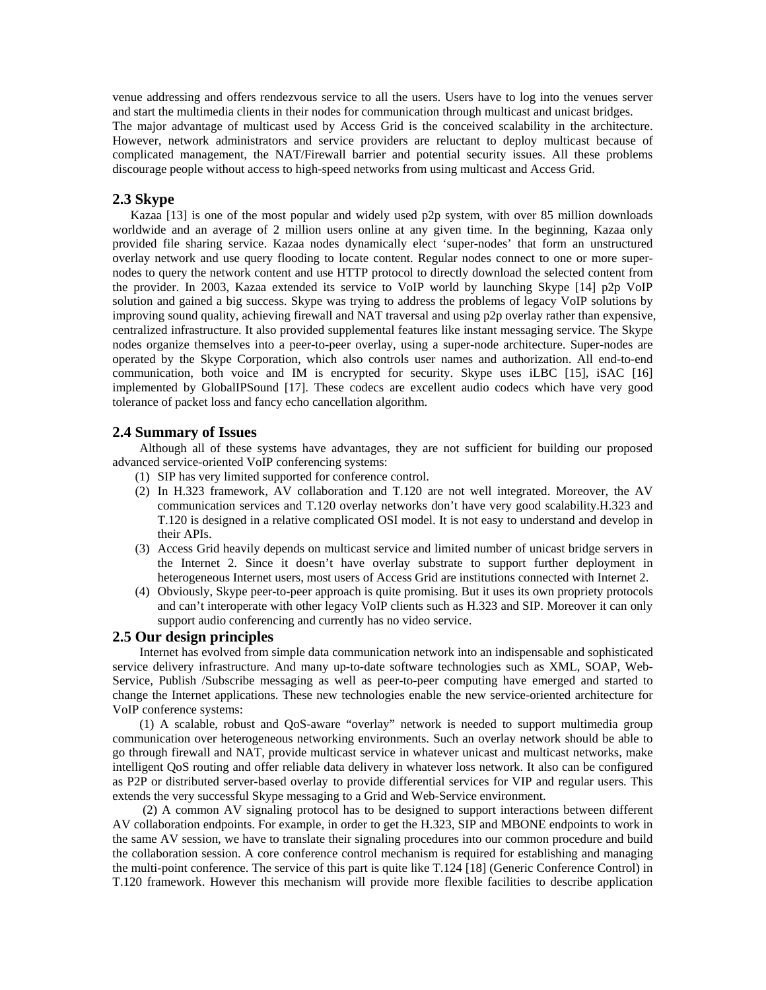venue addressing and offers rendezvous service to all the users. Users have to log into the venues server and start the multimedia clients in their nodes for communication through multicast and unicast bridges. The major advantage of multicast used by Access Grid is the conceived scalability in the architecture. However, network administrators and service providers are reluctant to deploy multicast because of complicated management, the NAT/Firewall barrier and potential security issues. All these problems discourage people without access to high-speed networks from using multicast and Access Grid.

# **2.3 Skype**

Kazaa [13] is one of the most popular and widely used p2p system, with over 85 million downloads worldwide and an average of 2 million users online at any given time. In the beginning, Kazaa only provided file sharing service. Kazaa nodes dynamically elect 'super-nodes' that form an unstructured overlay network and use query flooding to locate content. Regular nodes connect to one or more supernodes to query the network content and use HTTP protocol to directly download the selected content from the provider. In 2003, Kazaa extended its service to VoIP world by launching Skype [14] p2p VoIP solution and gained a big success. Skype was trying to address the problems of legacy VoIP solutions by improving sound quality, achieving firewall and NAT traversal and using p2p overlay rather than expensive, centralized infrastructure. It also provided supplemental features like instant messaging service. The Skype nodes organize themselves into a peer-to-peer overlay, using a super-node architecture. Super-nodes are operated by the Skype Corporation, which also controls user names and authorization. All end-to-end communication, both voice and IM is encrypted for security. Skype uses iLBC [15], iSAC [16] implemented by GlobalIPSound [17]. These codecs are excellent audio codecs which have very good tolerance of packet loss and fancy echo cancellation algorithm.

## **2.4 Summary of Issues**

Although all of these systems have advantages, they are not sufficient for building our proposed advanced service-oriented VoIP conferencing systems:

- (1) SIP has very limited supported for conference control.
- (2) In H.323 framework, AV collaboration and T.120 are not well integrated. Moreover, the AV communication services and T.120 overlay networks don't have very good scalability.H.323 and T.120 is designed in a relative complicated OSI model. It is not easy to understand and develop in their APIs.
- (3) Access Grid heavily depends on multicast service and limited number of unicast bridge servers in the Internet 2. Since it doesn't have overlay substrate to support further deployment in heterogeneous Internet users, most users of Access Grid are institutions connected with Internet 2.
- (4) Obviously, Skype peer-to-peer approach is quite promising. But it uses its own propriety protocols and can't interoperate with other legacy VoIP clients such as H.323 and SIP. Moreover it can only support audio conferencing and currently has no video service.

## **2.5 Our design principles**

Internet has evolved from simple data communication network into an indispensable and sophisticated service delivery infrastructure. And many up-to-date software technologies such as XML, SOAP, Web-Service, Publish /Subscribe messaging as well as peer-to-peer computing have emerged and started to change the Internet applications. These new technologies enable the new service-oriented architecture for VoIP conference systems:

(1) A scalable, robust and QoS-aware "overlay" network is needed to support multimedia group communication over heterogeneous networking environments. Such an overlay network should be able to go through firewall and NAT, provide multicast service in whatever unicast and multicast networks, make intelligent QoS routing and offer reliable data delivery in whatever loss network. It also can be configured as P2P or distributed server-based overlay to provide differential services for VIP and regular users. This extends the very successful Skype messaging to a Grid and Web-Service environment.

 (2) A common AV signaling protocol has to be designed to support interactions between different AV collaboration endpoints. For example, in order to get the H.323, SIP and MBONE endpoints to work in the same AV session, we have to translate their signaling procedures into our common procedure and build the collaboration session. A core conference control mechanism is required for establishing and managing the multi-point conference. The service of this part is quite like T.124 [18] (Generic Conference Control) in T.120 framework. However this mechanism will provide more flexible facilities to describe application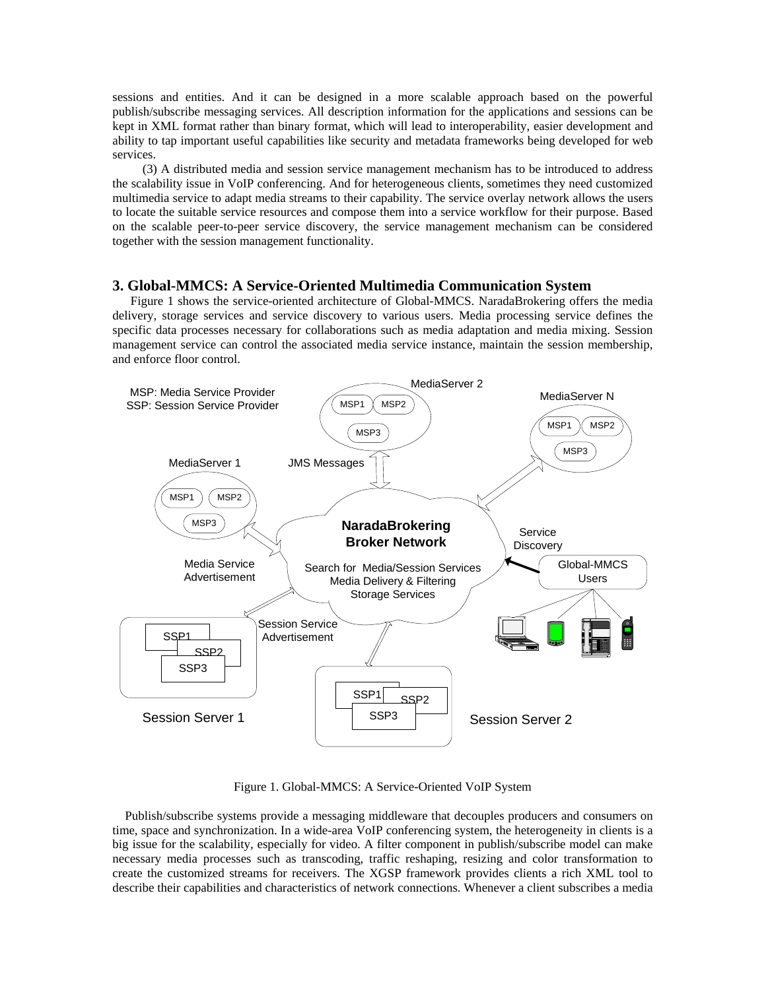sessions and entities. And it can be designed in a more scalable approach based on the powerful publish/subscribe messaging services. All description information for the applications and sessions can be kept in XML format rather than binary format, which will lead to interoperability, easier development and ability to tap important useful capabilities like security and metadata frameworks being developed for web services.

 (3) A distributed media and session service management mechanism has to be introduced to address the scalability issue in VoIP conferencing. And for heterogeneous clients, sometimes they need customized multimedia service to adapt media streams to their capability. The service overlay network allows the users to locate the suitable service resources and compose them into a service workflow for their purpose. Based on the scalable peer-to-peer service discovery, the service management mechanism can be considered together with the session management functionality.

### **3. Global-MMCS: A Service-Oriented Multimedia Communication System**

Figure 1 shows the service-oriented architecture of Global-MMCS. NaradaBrokering offers the media delivery, storage services and service discovery to various users. Media processing service defines the specific data processes necessary for collaborations such as media adaptation and media mixing. Session management service can control the associated media service instance, maintain the session membership, and enforce floor control.



Figure 1. Global-MMCS: A Service-Oriented VoIP System

 Publish/subscribe systems provide a messaging middleware that decouples producers and consumers on time, space and synchronization. In a wide-area VoIP conferencing system, the heterogeneity in clients is a big issue for the scalability, especially for video. A filter component in publish/subscribe model can make necessary media processes such as transcoding, traffic reshaping, resizing and color transformation to create the customized streams for receivers. The XGSP framework provides clients a rich XML tool to describe their capabilities and characteristics of network connections. Whenever a client subscribes a media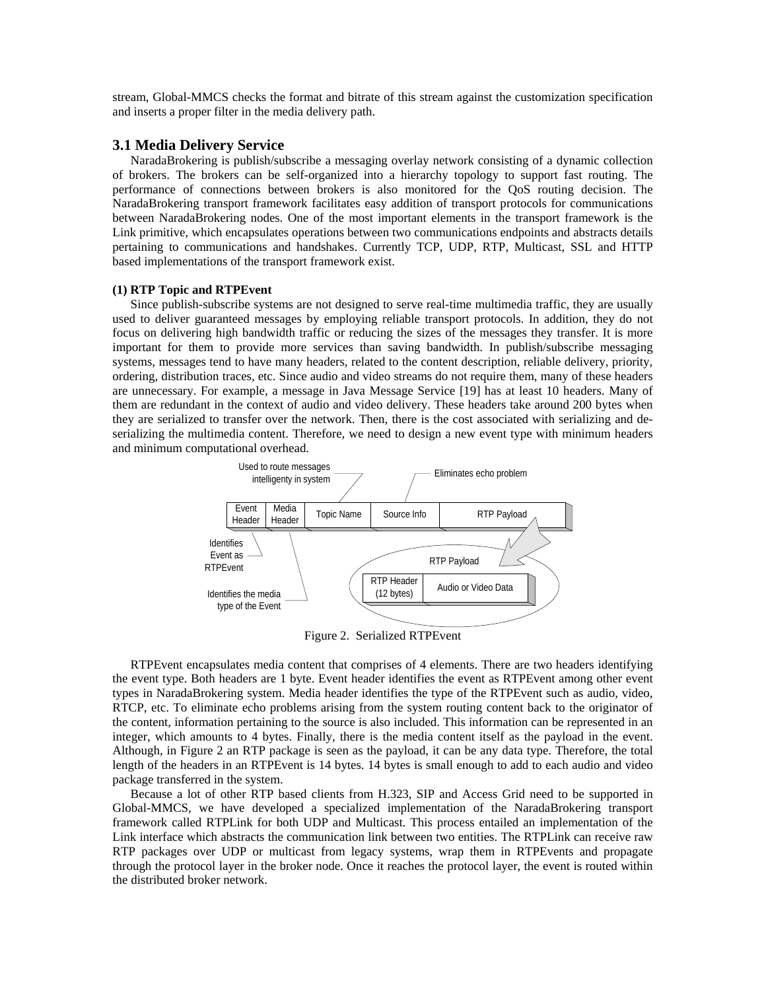stream, Global-MMCS checks the format and bitrate of this stream against the customization specification and inserts a proper filter in the media delivery path.

### **3.1 Media Delivery Service**

NaradaBrokering is publish/subscribe a messaging overlay network consisting of a dynamic collection of brokers. The brokers can be self-organized into a hierarchy topology to support fast routing. The performance of connections between brokers is also monitored for the QoS routing decision. The NaradaBrokering transport framework facilitates easy addition of transport protocols for communications between NaradaBrokering nodes. One of the most important elements in the transport framework is the Link primitive, which encapsulates operations between two communications endpoints and abstracts details pertaining to communications and handshakes. Currently TCP, UDP, RTP, Multicast, SSL and HTTP based implementations of the transport framework exist.

#### **(1) RTP Topic and RTPEvent**

Since publish-subscribe systems are not designed to serve real-time multimedia traffic, they are usually used to deliver guaranteed messages by employing reliable transport protocols. In addition, they do not focus on delivering high bandwidth traffic or reducing the sizes of the messages they transfer. It is more important for them to provide more services than saving bandwidth. In publish/subscribe messaging systems, messages tend to have many headers, related to the content description, reliable delivery, priority, ordering, distribution traces, etc. Since audio and video streams do not require them, many of these headers are unnecessary. For example, a message in Java Message Service [19] has at least 10 headers. Many of them are redundant in the context of audio and video delivery. These headers take around 200 bytes when they are serialized to transfer over the network. Then, there is the cost associated with serializing and deserializing the multimedia content. Therefore, we need to design a new event type with minimum headers and minimum computational overhead.



Figure 2. Serialized RTPEvent

RTPEvent encapsulates media content that comprises of 4 elements. There are two headers identifying the event type. Both headers are 1 byte. Event header identifies the event as RTPEvent among other event types in NaradaBrokering system. Media header identifies the type of the RTPEvent such as audio, video, RTCP, etc. To eliminate echo problems arising from the system routing content back to the originator of the content, information pertaining to the source is also included. This information can be represented in an integer, which amounts to 4 bytes. Finally, there is the media content itself as the payload in the event. Although, in Figure 2 an RTP package is seen as the payload, it can be any data type. Therefore, the total length of the headers in an RTPEvent is 14 bytes. 14 bytes is small enough to add to each audio and video package transferred in the system.

Because a lot of other RTP based clients from H.323, SIP and Access Grid need to be supported in Global-MMCS, we have developed a specialized implementation of the NaradaBrokering transport framework called RTPLink for both UDP and Multicast. This process entailed an implementation of the Link interface which abstracts the communication link between two entities. The RTPLink can receive raw RTP packages over UDP or multicast from legacy systems, wrap them in RTPEvents and propagate through the protocol layer in the broker node. Once it reaches the protocol layer, the event is routed within the distributed broker network.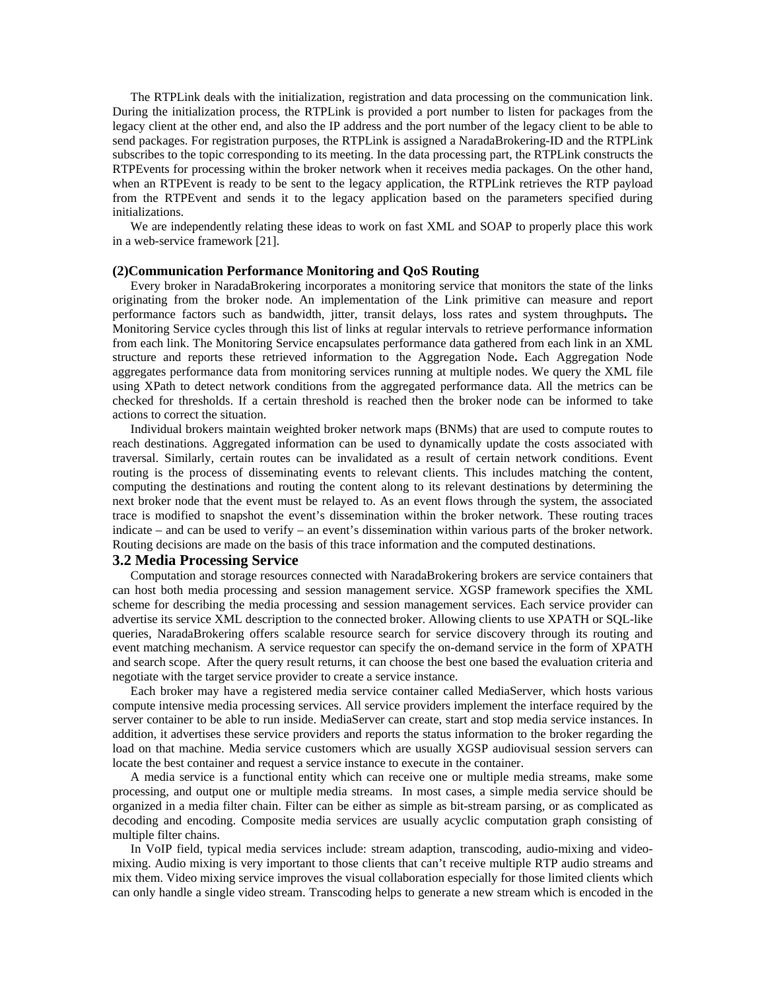The RTPLink deals with the initialization, registration and data processing on the communication link. During the initialization process, the RTPLink is provided a port number to listen for packages from the legacy client at the other end, and also the IP address and the port number of the legacy client to be able to send packages. For registration purposes, the RTPLink is assigned a NaradaBrokering-ID and the RTPLink subscribes to the topic corresponding to its meeting. In the data processing part, the RTPLink constructs the RTPEvents for processing within the broker network when it receives media packages. On the other hand, when an RTPEvent is ready to be sent to the legacy application, the RTPLink retrieves the RTP payload from the RTPEvent and sends it to the legacy application based on the parameters specified during initializations.

We are independently relating these ideas to work on fast XML and SOAP to properly place this work in a web-service framework [21].

### **(2)Communication Performance Monitoring and QoS Routing**

Every broker in NaradaBrokering incorporates a monitoring service that monitors the state of the links originating from the broker node. An implementation of the Link primitive can measure and report performance factors such as bandwidth, jitter, transit delays, loss rates and system throughputs**.** The Monitoring Service cycles through this list of links at regular intervals to retrieve performance information from each link. The Monitoring Service encapsulates performance data gathered from each link in an XML structure and reports these retrieved information to the Aggregation Node**.** Each Aggregation Node aggregates performance data from monitoring services running at multiple nodes. We query the XML file using XPath to detect network conditions from the aggregated performance data. All the metrics can be checked for thresholds. If a certain threshold is reached then the broker node can be informed to take actions to correct the situation.

Individual brokers maintain weighted broker network maps (BNMs) that are used to compute routes to reach destinations. Aggregated information can be used to dynamically update the costs associated with traversal. Similarly, certain routes can be invalidated as a result of certain network conditions. Event routing is the process of disseminating events to relevant clients. This includes matching the content, computing the destinations and routing the content along to its relevant destinations by determining the next broker node that the event must be relayed to. As an event flows through the system, the associated trace is modified to snapshot the event's dissemination within the broker network. These routing traces indicate – and can be used to verify – an event's dissemination within various parts of the broker network. Routing decisions are made on the basis of this trace information and the computed destinations.

### **3.2 Media Processing Service**

Computation and storage resources connected with NaradaBrokering brokers are service containers that can host both media processing and session management service. XGSP framework specifies the XML scheme for describing the media processing and session management services. Each service provider can advertise its service XML description to the connected broker. Allowing clients to use XPATH or SQL-like queries, NaradaBrokering offers scalable resource search for service discovery through its routing and event matching mechanism. A service requestor can specify the on-demand service in the form of XPATH and search scope. After the query result returns, it can choose the best one based the evaluation criteria and negotiate with the target service provider to create a service instance.

Each broker may have a registered media service container called MediaServer, which hosts various compute intensive media processing services. All service providers implement the interface required by the server container to be able to run inside. MediaServer can create, start and stop media service instances. In addition, it advertises these service providers and reports the status information to the broker regarding the load on that machine. Media service customers which are usually XGSP audiovisual session servers can locate the best container and request a service instance to execute in the container.

A media service is a functional entity which can receive one or multiple media streams, make some processing, and output one or multiple media streams. In most cases, a simple media service should be organized in a media filter chain. Filter can be either as simple as bit-stream parsing, or as complicated as decoding and encoding. Composite media services are usually acyclic computation graph consisting of multiple filter chains.

In VoIP field, typical media services include: stream adaption, transcoding, audio-mixing and videomixing. Audio mixing is very important to those clients that can't receive multiple RTP audio streams and mix them. Video mixing service improves the visual collaboration especially for those limited clients which can only handle a single video stream. Transcoding helps to generate a new stream which is encoded in the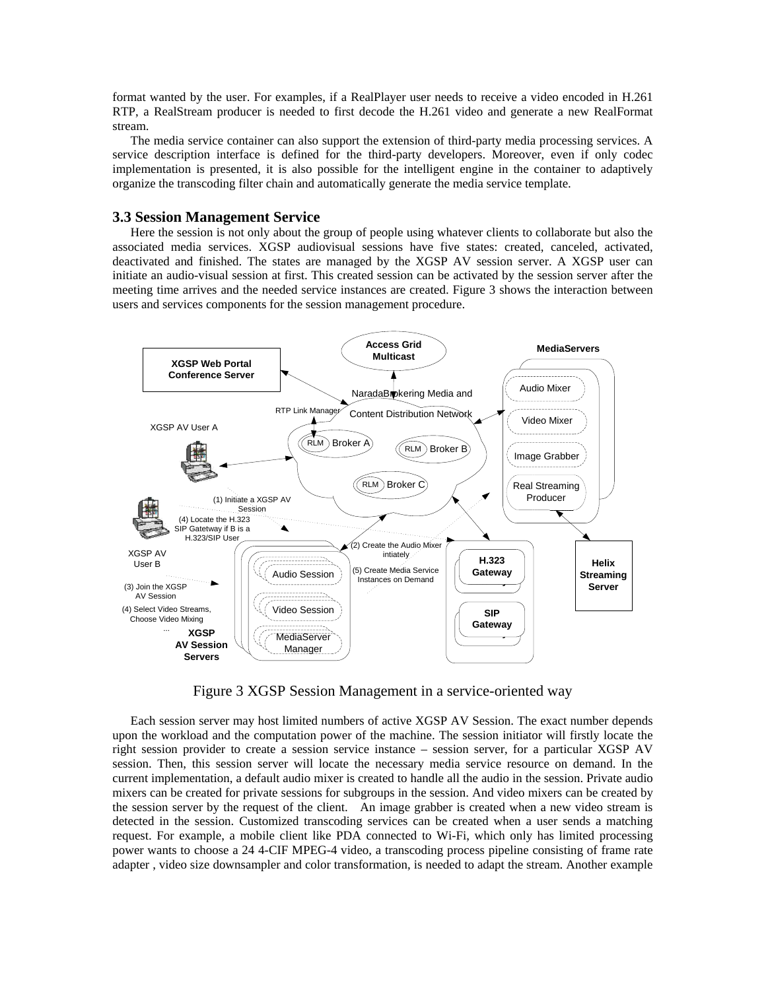format wanted by the user. For examples, if a RealPlayer user needs to receive a video encoded in H.261 RTP, a RealStream producer is needed to first decode the H.261 video and generate a new RealFormat stream.

The media service container can also support the extension of third-party media processing services. A service description interface is defined for the third-party developers. Moreover, even if only codec implementation is presented, it is also possible for the intelligent engine in the container to adaptively organize the transcoding filter chain and automatically generate the media service template.

#### **3.3 Session Management Service**

Here the session is not only about the group of people using whatever clients to collaborate but also the associated media services. XGSP audiovisual sessions have five states: created, canceled, activated, deactivated and finished. The states are managed by the XGSP AV session server. A XGSP user can initiate an audio-visual session at first. This created session can be activated by the session server after the meeting time arrives and the needed service instances are created. Figure 3 shows the interaction between users and services components for the session management procedure.



Figure 3 XGSP Session Management in a service-oriented way

Each session server may host limited numbers of active XGSP AV Session. The exact number depends upon the workload and the computation power of the machine. The session initiator will firstly locate the right session provider to create a session service instance – session server, for a particular XGSP AV session. Then, this session server will locate the necessary media service resource on demand. In the current implementation, a default audio mixer is created to handle all the audio in the session. Private audio mixers can be created for private sessions for subgroups in the session. And video mixers can be created by the session server by the request of the client. An image grabber is created when a new video stream is detected in the session. Customized transcoding services can be created when a user sends a matching request. For example, a mobile client like PDA connected to Wi-Fi, which only has limited processing power wants to choose a 24 4-CIF MPEG-4 video, a transcoding process pipeline consisting of frame rate adapter , video size downsampler and color transformation, is needed to adapt the stream. Another example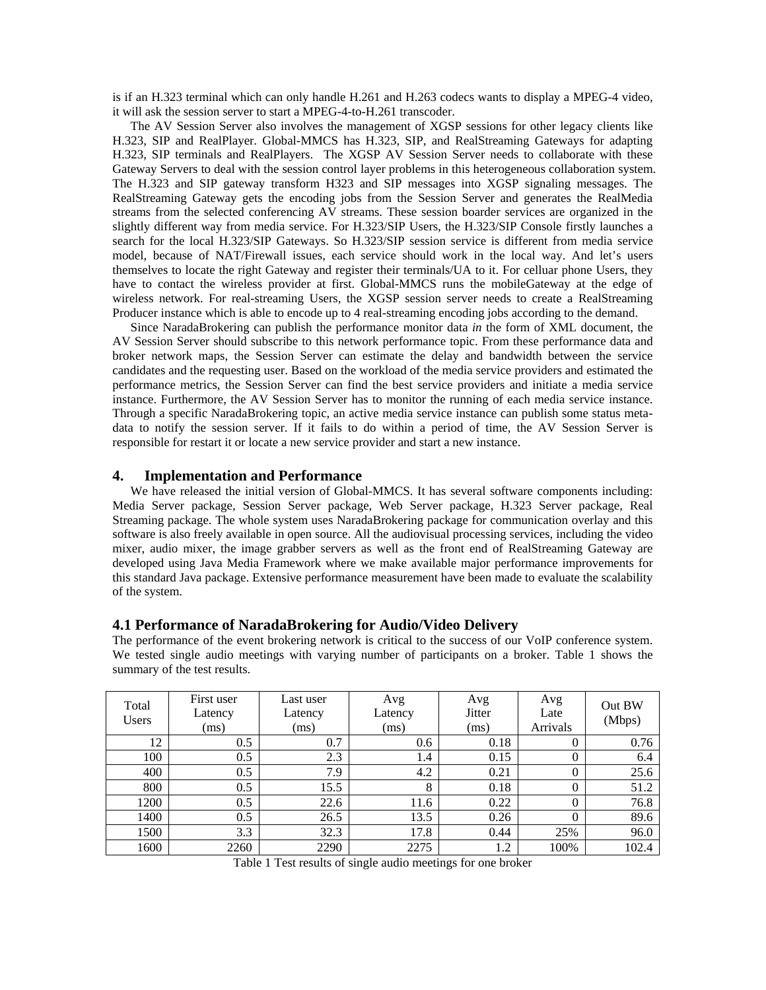is if an H.323 terminal which can only handle H.261 and H.263 codecs wants to display a MPEG-4 video, it will ask the session server to start a MPEG-4-to-H.261 transcoder.

The AV Session Server also involves the management of XGSP sessions for other legacy clients like H.323, SIP and RealPlayer. Global-MMCS has H.323, SIP, and RealStreaming Gateways for adapting H.323, SIP terminals and RealPlayers. The XGSP AV Session Server needs to collaborate with these Gateway Servers to deal with the session control layer problems in this heterogeneous collaboration system. The H.323 and SIP gateway transform H323 and SIP messages into XGSP signaling messages. The RealStreaming Gateway gets the encoding jobs from the Session Server and generates the RealMedia streams from the selected conferencing AV streams. These session boarder services are organized in the slightly different way from media service. For H.323/SIP Users, the H.323/SIP Console firstly launches a search for the local H.323/SIP Gateways. So H.323/SIP session service is different from media service model, because of NAT/Firewall issues, each service should work in the local way. And let's users themselves to locate the right Gateway and register their terminals/UA to it. For celluar phone Users, they have to contact the wireless provider at first. Global-MMCS runs the mobileGateway at the edge of wireless network. For real-streaming Users, the XGSP session server needs to create a RealStreaming Producer instance which is able to encode up to 4 real-streaming encoding jobs according to the demand.

Since NaradaBrokering can publish the performance monitor data *in* the form of XML document, the AV Session Server should subscribe to this network performance topic. From these performance data and broker network maps, the Session Server can estimate the delay and bandwidth between the service candidates and the requesting user. Based on the workload of the media service providers and estimated the performance metrics, the Session Server can find the best service providers and initiate a media service instance. Furthermore, the AV Session Server has to monitor the running of each media service instance. Through a specific NaradaBrokering topic, an active media service instance can publish some status metadata to notify the session server. If it fails to do within a period of time, the AV Session Server is responsible for restart it or locate a new service provider and start a new instance.

#### **4. Implementation and Performance**

We have released the initial version of Global-MMCS. It has several software components including: Media Server package, Session Server package, Web Server package, H.323 Server package, Real Streaming package. The whole system uses NaradaBrokering package for communication overlay and this software is also freely available in open source. All the audiovisual processing services, including the video mixer, audio mixer, the image grabber servers as well as the front end of RealStreaming Gateway are developed using Java Media Framework where we make available major performance improvements for this standard Java package. Extensive performance measurement have been made to evaluate the scalability of the system.

## **4.1 Performance of NaradaBrokering for Audio/Video Delivery**

The performance of the event brokering network is critical to the success of our VoIP conference system. We tested single audio meetings with varying number of participants on a broker. Table 1 shows the summary of the test results.

| Total<br><b>Users</b> | First user<br>Latency<br>(ms) | Last user<br>Latency<br>(ms) | Avg<br>Latency<br>(ms) | Avg<br>Jitter<br>(ms) | Avg<br>Late<br>Arrivals | Out BW<br>(Mbps) |
|-----------------------|-------------------------------|------------------------------|------------------------|-----------------------|-------------------------|------------------|
| 12                    | 0.5                           | 0.7                          | 0.6                    | 0.18                  | $\theta$                | 0.76             |
| 100                   | 0.5                           | 2.3                          | 1.4                    | 0.15                  | $\Omega$                | 6.4              |
| 400                   | 0.5                           | 7.9                          | 4.2                    | 0.21                  | $\Omega$                | 25.6             |
| 800                   | 0.5                           | 15.5                         | 8                      | 0.18                  | $\Omega$                | 51.2             |
| 1200                  | 0.5                           | 22.6                         | 11.6                   | 0.22                  | $\theta$                | 76.8             |
| 1400                  | 0.5                           | 26.5                         | 13.5                   | 0.26                  | $\Omega$                | 89.6             |
| 1500                  | 3.3                           | 32.3                         | 17.8                   | 0.44                  | 25%                     | 96.0             |
| 1600                  | 2260                          | 2290                         | 2275                   | 1.2                   | 100%                    | 102.4            |

Table 1 Test results of single audio meetings for one broker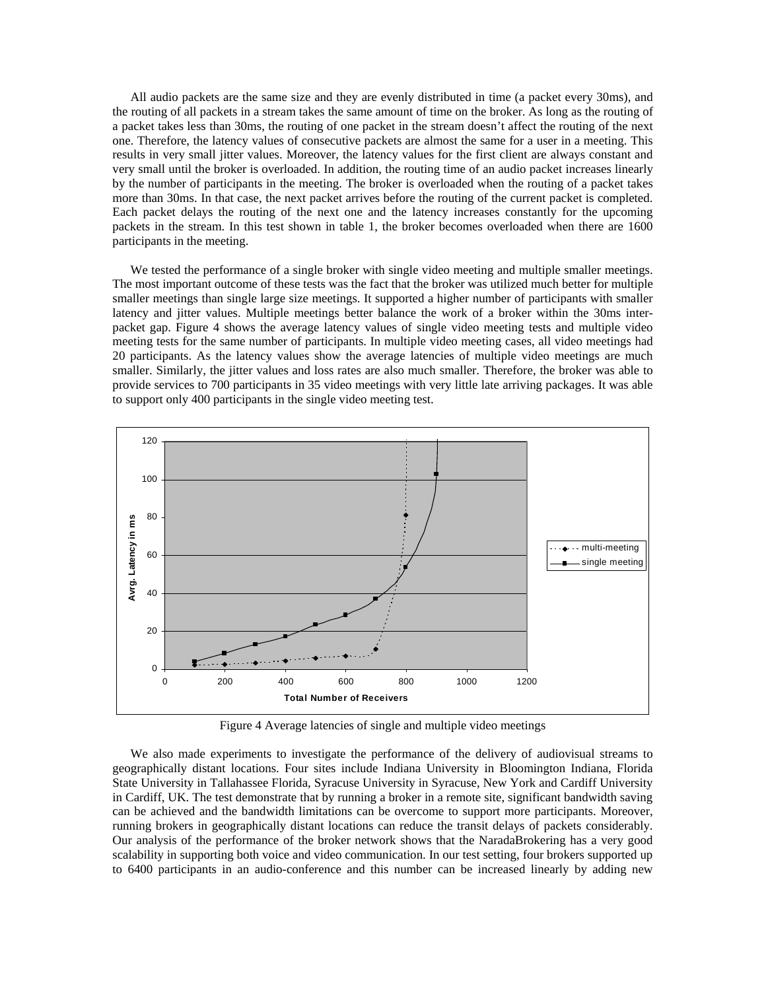All audio packets are the same size and they are evenly distributed in time (a packet every 30ms), and the routing of all packets in a stream takes the same amount of time on the broker. As long as the routing of a packet takes less than 30ms, the routing of one packet in the stream doesn't affect the routing of the next one. Therefore, the latency values of consecutive packets are almost the same for a user in a meeting. This results in very small jitter values. Moreover, the latency values for the first client are always constant and very small until the broker is overloaded. In addition, the routing time of an audio packet increases linearly by the number of participants in the meeting. The broker is overloaded when the routing of a packet takes more than 30ms. In that case, the next packet arrives before the routing of the current packet is completed. Each packet delays the routing of the next one and the latency increases constantly for the upcoming packets in the stream. In this test shown in table 1, the broker becomes overloaded when there are 1600 participants in the meeting.

We tested the performance of a single broker with single video meeting and multiple smaller meetings. The most important outcome of these tests was the fact that the broker was utilized much better for multiple smaller meetings than single large size meetings. It supported a higher number of participants with smaller latency and jitter values. Multiple meetings better balance the work of a broker within the 30ms interpacket gap. Figure 4 shows the average latency values of single video meeting tests and multiple video meeting tests for the same number of participants. In multiple video meeting cases, all video meetings had 20 participants. As the latency values show the average latencies of multiple video meetings are much smaller. Similarly, the jitter values and loss rates are also much smaller. Therefore, the broker was able to provide services to 700 participants in 35 video meetings with very little late arriving packages. It was able to support only 400 participants in the single video meeting test.



Figure 4 Average latencies of single and multiple video meetings

We also made experiments to investigate the performance of the delivery of audiovisual streams to geographically distant locations. Four sites include Indiana University in Bloomington Indiana, Florida State University in Tallahassee Florida, Syracuse University in Syracuse, New York and Cardiff University in Cardiff, UK. The test demonstrate that by running a broker in a remote site, significant bandwidth saving can be achieved and the bandwidth limitations can be overcome to support more participants. Moreover, running brokers in geographically distant locations can reduce the transit delays of packets considerably. Our analysis of the performance of the broker network shows that the NaradaBrokering has a very good scalability in supporting both voice and video communication. In our test setting, four brokers supported up to 6400 participants in an audio-conference and this number can be increased linearly by adding new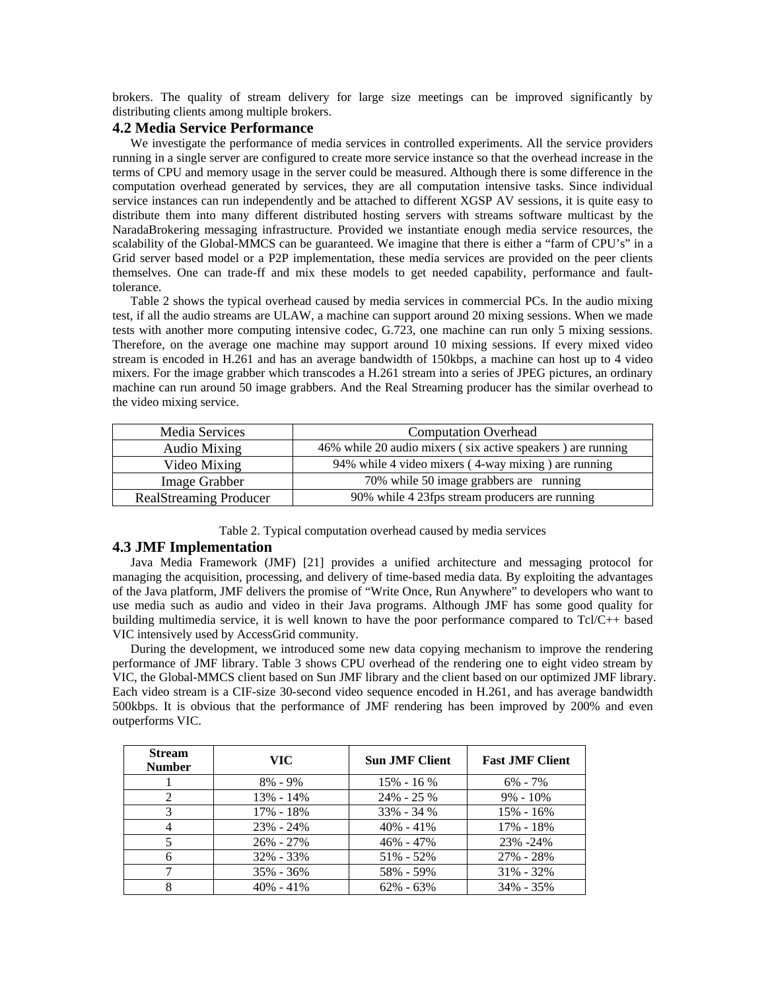brokers. The quality of stream delivery for large size meetings can be improved significantly by distributing clients among multiple brokers.

## **4.2 Media Service Performance**

We investigate the performance of media services in controlled experiments. All the service providers running in a single server are configured to create more service instance so that the overhead increase in the terms of CPU and memory usage in the server could be measured. Although there is some difference in the computation overhead generated by services, they are all computation intensive tasks. Since individual service instances can run independently and be attached to different XGSP AV sessions, it is quite easy to distribute them into many different distributed hosting servers with streams software multicast by the NaradaBrokering messaging infrastructure. Provided we instantiate enough media service resources, the scalability of the Global-MMCS can be guaranteed. We imagine that there is either a "farm of CPU's" in a Grid server based model or a P2P implementation, these media services are provided on the peer clients themselves. One can trade-ff and mix these models to get needed capability, performance and faulttolerance.

Table 2 shows the typical overhead caused by media services in commercial PCs. In the audio mixing test, if all the audio streams are ULAW, a machine can support around 20 mixing sessions. When we made tests with another more computing intensive codec, G.723, one machine can run only 5 mixing sessions. Therefore, on the average one machine may support around 10 mixing sessions. If every mixed video stream is encoded in H.261 and has an average bandwidth of 150kbps, a machine can host up to 4 video mixers. For the image grabber which transcodes a H.261 stream into a series of JPEG pictures, an ordinary machine can run around 50 image grabbers. And the Real Streaming producer has the similar overhead to the video mixing service.

| Media Services                | <b>Computation Overhead</b>                                 |  |  |
|-------------------------------|-------------------------------------------------------------|--|--|
| Audio Mixing                  | 46% while 20 audio mixers (six active speakers) are running |  |  |
| Video Mixing                  | 94% while 4 video mixers (4-way mixing) are running         |  |  |
| Image Grabber                 | 70% while 50 image grabbers are running                     |  |  |
| <b>RealStreaming Producer</b> | 90% while 4 23fps stream producers are running              |  |  |

Table 2. Typical computation overhead caused by media services

## **4.3 JMF Implementation**

Java Media Framework (JMF) [21] provides a unified architecture and messaging protocol for managing the acquisition, processing, and delivery of time-based media data. By exploiting the advantages of the Java platform, JMF delivers the promise of "Write Once, Run Anywhere" to developers who want to use media such as audio and video in their Java programs. Although JMF has some good quality for building multimedia service, it is well known to have the poor performance compared to Tcl/C++ based VIC intensively used by AccessGrid community.

During the development, we introduced some new data copying mechanism to improve the rendering performance of JMF library. Table 3 shows CPU overhead of the rendering one to eight video stream by VIC, the Global-MMCS client based on Sun JMF library and the client based on our optimized JMF library. Each video stream is a CIF-size 30-second video sequence encoded in H.261, and has average bandwidth 500kbps. It is obvious that the performance of JMF rendering has been improved by 200% and even outperforms VIC.

| <b>Stream</b><br><b>Number</b> | VIC-          | <b>Sun JMF Client</b> | <b>Fast JMF Client</b> |
|--------------------------------|---------------|-----------------------|------------------------|
|                                | $8\% - 9\%$   | $15\% - 16\%$         | $6\% - 7\%$            |
|                                | $13\% - 14\%$ | $24\% - 25\%$         | $9\% - 10\%$           |
| 3                              | 17% - 18%     | $33\% - 34\%$         | $15\% - 16\%$          |
|                                | $23\% - 24\%$ | $40\% - 41\%$         | 17% - 18%              |
|                                | $26\% - 27\%$ | $46\% - 47\%$         | 23% -24%               |
|                                | 32% - 33%     | $51\% - 52\%$         | 27% - 28%              |
|                                | $35\% - 36\%$ | 58% - 59%             | $31\% - 32\%$          |
|                                | $40\% - 41\%$ | $62\% - 63\%$         | $34\% - 35\%$          |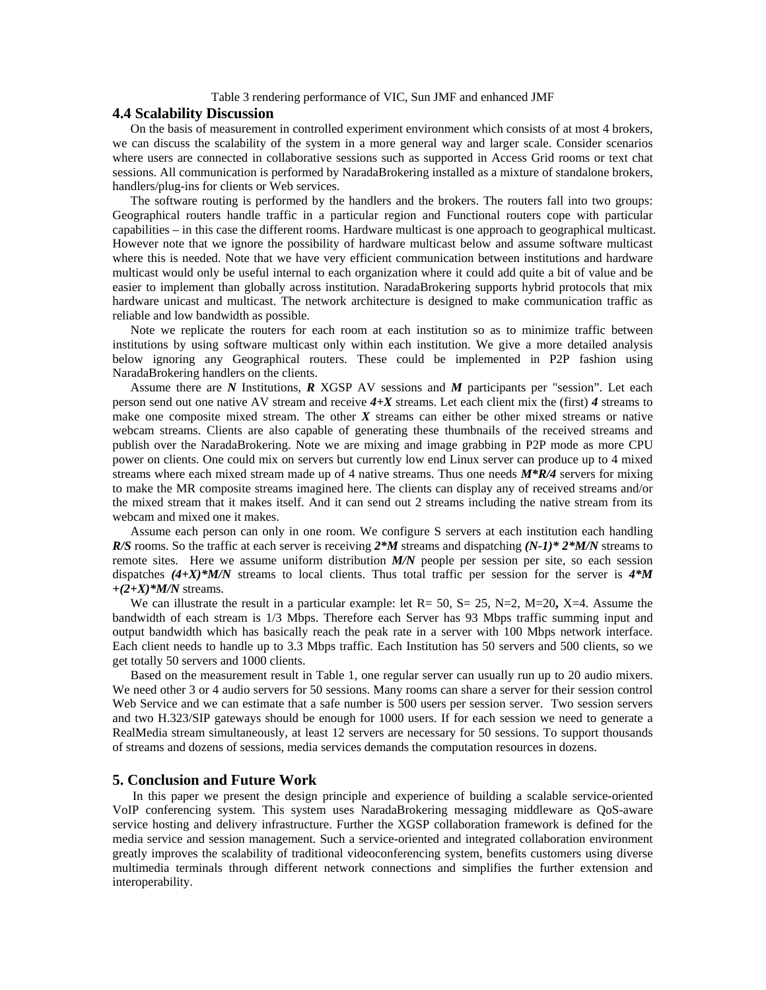#### Table 3 rendering performance of VIC, Sun JMF and enhanced JMF

# **4.4 Scalability Discussion**

On the basis of measurement in controlled experiment environment which consists of at most 4 brokers, we can discuss the scalability of the system in a more general way and larger scale. Consider scenarios where users are connected in collaborative sessions such as supported in Access Grid rooms or text chat sessions. All communication is performed by NaradaBrokering installed as a mixture of standalone brokers, handlers/plug-ins for clients or Web services.

The software routing is performed by the handlers and the brokers. The routers fall into two groups: Geographical routers handle traffic in a particular region and Functional routers cope with particular capabilities – in this case the different rooms. Hardware multicast is one approach to geographical multicast. However note that we ignore the possibility of hardware multicast below and assume software multicast where this is needed. Note that we have very efficient communication between institutions and hardware multicast would only be useful internal to each organization where it could add quite a bit of value and be easier to implement than globally across institution. NaradaBrokering supports hybrid protocols that mix hardware unicast and multicast. The network architecture is designed to make communication traffic as reliable and low bandwidth as possible.

Note we replicate the routers for each room at each institution so as to minimize traffic between institutions by using software multicast only within each institution. We give a more detailed analysis below ignoring any Geographical routers. These could be implemented in P2P fashion using NaradaBrokering handlers on the clients.

Assume there are *N* Institutions, *R* XGSP AV sessions and *M* participants per "session". Let each person send out one native AV stream and receive *4+X* streams. Let each client mix the (first) *4* streams to make one composite mixed stream. The other *X* streams can either be other mixed streams or native webcam streams. Clients are also capable of generating these thumbnails of the received streams and publish over the NaradaBrokering. Note we are mixing and image grabbing in P2P mode as more CPU power on clients. One could mix on servers but currently low end Linux server can produce up to 4 mixed streams where each mixed stream made up of 4 native streams. Thus one needs *M\*R/4* servers for mixing to make the MR composite streams imagined here. The clients can display any of received streams and/or the mixed stream that it makes itself. And it can send out 2 streams including the native stream from its webcam and mixed one it makes.

Assume each person can only in one room. We configure S servers at each institution each handling *R/S* rooms. So the traffic at each server is receiving *2\*M* streams and dispatching *(N-1)\* 2\*M/N* streams to remote sites. Here we assume uniform distribution *M/N* people per session per site, so each session dispatches  $(4+X)^*M/N$  streams to local clients. Thus total traffic per session for the server is  $4*M$ *+(2+X)\*M/N* streams.

We can illustrate the result in a particular example: let  $R = 50$ ,  $S = 25$ ,  $N = 2$ ,  $M = 20$ ,  $X = 4$ . Assume the bandwidth of each stream is 1/3 Mbps. Therefore each Server has 93 Mbps traffic summing input and output bandwidth which has basically reach the peak rate in a server with 100 Mbps network interface. Each client needs to handle up to 3.3 Mbps traffic. Each Institution has 50 servers and 500 clients, so we get totally 50 servers and 1000 clients.

Based on the measurement result in Table 1, one regular server can usually run up to 20 audio mixers. We need other 3 or 4 audio servers for 50 sessions. Many rooms can share a server for their session control Web Service and we can estimate that a safe number is 500 users per session server. Two session servers and two H.323/SIP gateways should be enough for 1000 users. If for each session we need to generate a RealMedia stream simultaneously, at least 12 servers are necessary for 50 sessions. To support thousands of streams and dozens of sessions, media services demands the computation resources in dozens.

#### **5. Conclusion and Future Work**

In this paper we present the design principle and experience of building a scalable service-oriented VoIP conferencing system. This system uses NaradaBrokering messaging middleware as QoS-aware service hosting and delivery infrastructure. Further the XGSP collaboration framework is defined for the media service and session management. Such a service-oriented and integrated collaboration environment greatly improves the scalability of traditional videoconferencing system, benefits customers using diverse multimedia terminals through different network connections and simplifies the further extension and interoperability.